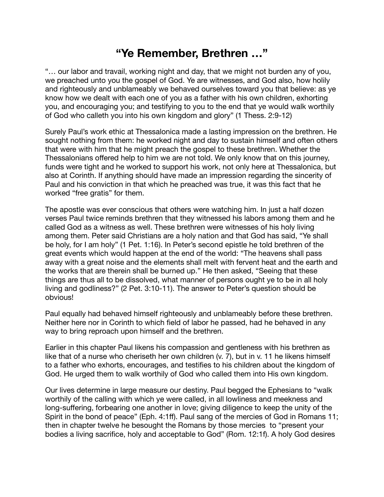## **"Ye Remember, Brethren …"**

"… our labor and travail, working night and day, that we might not burden any of you, we preached unto you the gospel of God. Ye are witnesses, and God also, how holily and righteously and unblameably we behaved ourselves toward you that believe: as ye know how we dealt with each one of you as a father with his own children, exhorting you, and encouraging you; and testifying to you to the end that ye would walk worthily of God who calleth you into his own kingdom and glory" (1 Thess. 2:9-12)

Surely Paul's work ethic at Thessalonica made a lasting impression on the brethren. He sought nothing from them: he worked night and day to sustain himself and often others that were with him that he might preach the gospel to these brethren. Whether the Thessalonians offered help to him we are not told. We only know that on this journey, funds were tight and he worked to support his work, not only here at Thessalonica, but also at Corinth. If anything should have made an impression regarding the sincerity of Paul and his conviction in that which he preached was true, it was this fact that he worked "free gratis" for them.

The apostle was ever conscious that others were watching him. In just a half dozen verses Paul twice reminds brethren that they witnessed his labors among them and he called God as a witness as well. These brethren were witnesses of his holy living among them. Peter said Christians are a holy nation and that God has said, "Ye shall be holy, for I am holy" (1 Pet. 1:16). In Peter's second epistle he told brethren of the great events which would happen at the end of the world: "The heavens shall pass away with a great noise and the elements shall melt with fervent heat and the earth and the works that are therein shall be burned up." He then asked, "Seeing that these things are thus all to be dissolved, what manner of persons ought ye to be in all holy living and godliness?" (2 Pet. 3:10-11). The answer to Peter's question should be obvious!

Paul equally had behaved himself righteously and unblameably before these brethren. Neither here nor in Corinth to which field of labor he passed, had he behaved in any way to bring reproach upon himself and the brethren.

Earlier in this chapter Paul likens his compassion and gentleness with his brethren as like that of a nurse who cheriseth her own children (v. 7), but in v. 11 he likens himself to a father who exhorts, encourages, and testifies to his children about the kingdom of God. He urged them to walk worthily of God who called them into His own kingdom.

Our lives determine in large measure our destiny. Paul begged the Ephesians to "walk worthily of the calling with which ye were called, in all lowliness and meekness and long-suffering, forbearing one another in love; giving diligence to keep the unity of the Spirit in the bond of peace" (Eph. 4:1ff). Paul sang of the mercies of God in Romans 11; then in chapter twelve he besought the Romans by those mercies to "present your bodies a living sacrifice, holy and acceptable to God" (Rom. 12:1f). A holy God desires